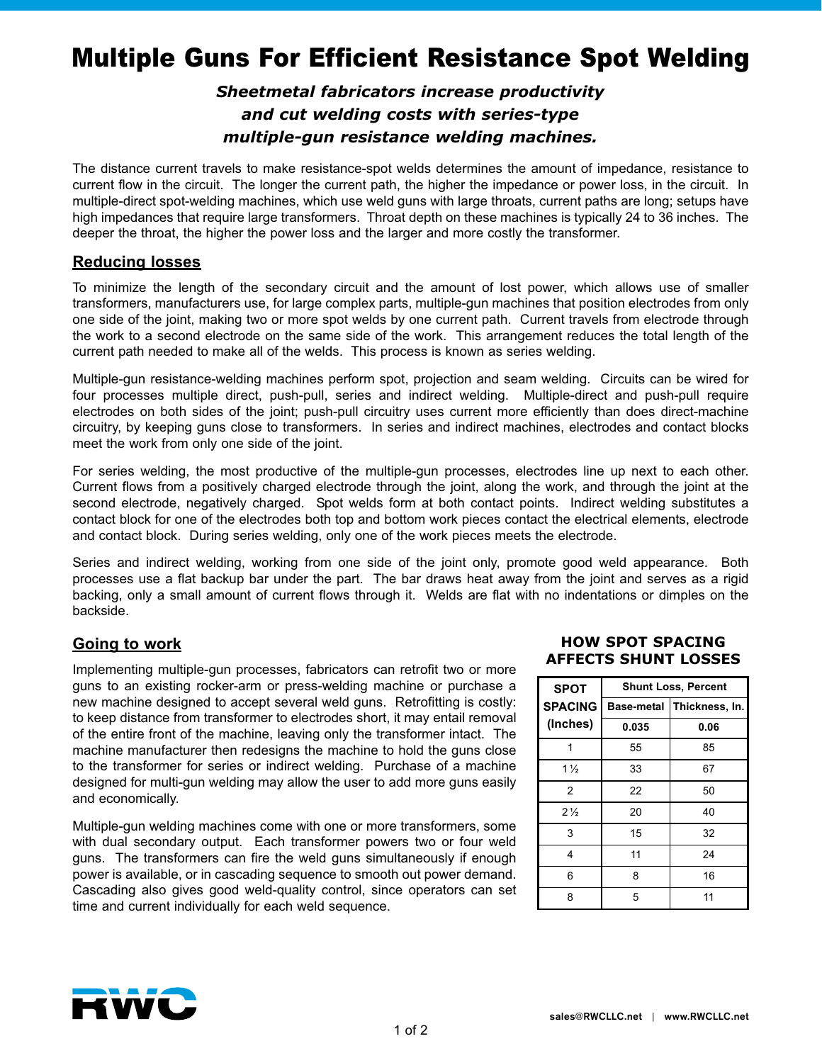# Multiple Guns For Efficient Resistance Spot Welding

# *Sheetmetal fabricators increase productivity and cut welding costs with series-type multiple-gun resistance welding machines.*

The distance current travels to make resistance-spot welds determines the amount of impedance, resistance to current flow in the circuit. The longer the current path, the higher the impedance or power loss, in the circuit. In multiple-direct spot-welding machines, which use weld guns with large throats, current paths are long; setups have high impedances that require large transformers. Throat depth on these machines is typically 24 to 36 inches. The deeper the throat, the higher the power loss and the larger and more costly the transformer.

#### **Reducing losses**

To minimize the length of the secondary circuit and the amount of lost power, which allows use of smaller transformers, manufacturers use, for large complex parts, multiple-gun machines that position electrodes from only one side of the joint, making two or more spot welds by one current path. Current travels from electrode through the work to a second electrode on the same side of the work. This arrangement reduces the total length of the current path needed to make all of the welds. This process is known as series welding.

Multiple-gun resistance-welding machines perform spot, projection and seam welding. Circuits can be wired for four processes multiple direct, push-pull, series and indirect welding. Multiple-direct and push-pull require electrodes on both sides of the joint; push-pull circuitry uses current more efficiently than does direct-machine circuitry, by keeping guns close to transformers. In series and indirect machines, electrodes and contact blocks meet the work from only one side of the joint.

For series welding, the most productive of the multiple-gun processes, electrodes line up next to each other. Current flows from a positively charged electrode through the joint, along the work, and through the joint at the second electrode, negatively charged. Spot welds form at both contact points. Indirect welding substitutes a contact block for one of the electrodes both top and bottom work pieces contact the electrical elements, electrode and contact block. During series welding, only one of the work pieces meets the electrode.

Series and indirect welding, working from one side of the joint only, promote good weld appearance. Both processes use a flat backup bar under the part. The bar draws heat away from the joint and serves as a rigid backing, only a small amount of current flows through it. Welds are flat with no indentations or dimples on the backside.

# **Going to work**

Implementing multiple-gun processes, fabricators can retrofit two or more guns to an existing rocker-arm or press-welding machine or purchase a new machine designed to accept several weld guns. Retrofitting is costly: to keep distance from transformer to electrodes short, it may entail removal of the entire front of the machine, leaving only the transformer intact. The machine manufacturer then redesigns the machine to hold the guns close to the transformer for series or indirect welding. Purchase of a machine designed for multi-gun welding may allow the user to add more guns easily and economically.

Multiple-gun welding machines come with one or more transformers, some with dual secondary output. Each transformer powers two or four weld guns. The transformers can fire the weld guns simultaneously if enough power is available, or in cascading sequence to smooth out power demand. Cascading also gives good weld-quality control, since operators can set time and current individually for each weld sequence.

#### **HOW SPOT SPACING AFFECTS SHUNT LOSSES**

| <b>SPOT</b>    | <b>Shunt Loss, Percent</b> |                |
|----------------|----------------------------|----------------|
| <b>SPACING</b> | <b>Base-metal</b>          | Thickness, In. |
| (Inches)       | 0.035                      | 0.06           |
|                | 55                         | 85             |
| $1\frac{1}{2}$ | 33                         | 67             |
| $\overline{2}$ | 22                         | 50             |
| $2\frac{1}{2}$ | 20                         | 40             |
| 3              | 15                         | 32             |
| 4              | 11                         | 24             |
| 6              | 8                          | 16             |
| 8              | 5                          | 11             |